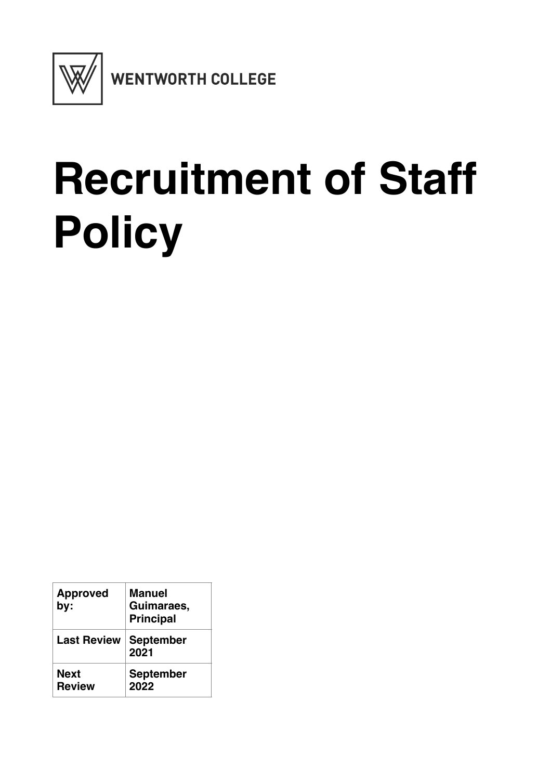

# **Recruitment of Staff Policy**

| <b>Approved</b><br>by:       | <b>Manuel</b><br>Guimaraes,<br><b>Principal</b> |
|------------------------------|-------------------------------------------------|
| <b>Last Review</b>           | <b>September</b><br>2021                        |
| <b>Next</b><br><b>Review</b> | <b>September</b><br>2022                        |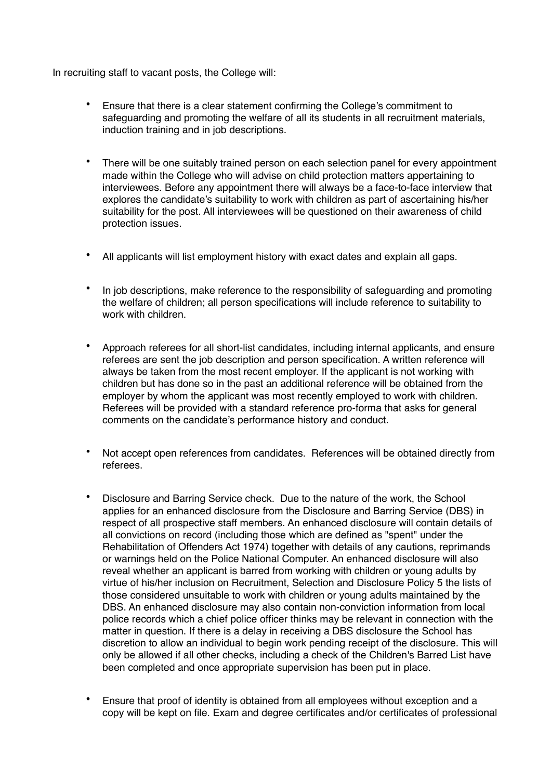In recruiting staff to vacant posts, the College will:

- Ensure that there is a clear statement confirming the College's commitment to safeguarding and promoting the welfare of all its students in all recruitment materials, induction training and in job descriptions.
- There will be one suitably trained person on each selection panel for every appointment made within the College who will advise on child protection matters appertaining to interviewees. Before any appointment there will always be a face-to-face interview that explores the candidate's suitability to work with children as part of ascertaining his/her suitability for the post. All interviewees will be questioned on their awareness of child protection issues.
- All applicants will list employment history with exact dates and explain all gaps.
- In job descriptions, make reference to the responsibility of safeguarding and promoting the welfare of children; all person specifications will include reference to suitability to work with children.
- Approach referees for all short-list candidates, including internal applicants, and ensure referees are sent the job description and person specification. A written reference will always be taken from the most recent employer. If the applicant is not working with children but has done so in the past an additional reference will be obtained from the employer by whom the applicant was most recently employed to work with children. Referees will be provided with a standard reference pro-forma that asks for general comments on the candidate's performance history and conduct.
- Not accept open references from candidates. References will be obtained directly from referees.
- Disclosure and Barring Service check. Due to the nature of the work, the School applies for an enhanced disclosure from the Disclosure and Barring Service (DBS) in respect of all prospective staff members. An enhanced disclosure will contain details of all convictions on record (including those which are defined as "spent" under the Rehabilitation of Offenders Act 1974) together with details of any cautions, reprimands or warnings held on the Police National Computer. An enhanced disclosure will also reveal whether an applicant is barred from working with children or young adults by virtue of his/her inclusion on Recruitment, Selection and Disclosure Policy 5 the lists of those considered unsuitable to work with children or young adults maintained by the DBS. An enhanced disclosure may also contain non-conviction information from local police records which a chief police officer thinks may be relevant in connection with the matter in question. If there is a delay in receiving a DBS disclosure the School has discretion to allow an individual to begin work pending receipt of the disclosure. This will only be allowed if all other checks, including a check of the Children's Barred List have been completed and once appropriate supervision has been put in place.
- Ensure that proof of identity is obtained from all employees without exception and a copy will be kept on file. Exam and degree certificates and/or certificates of professional